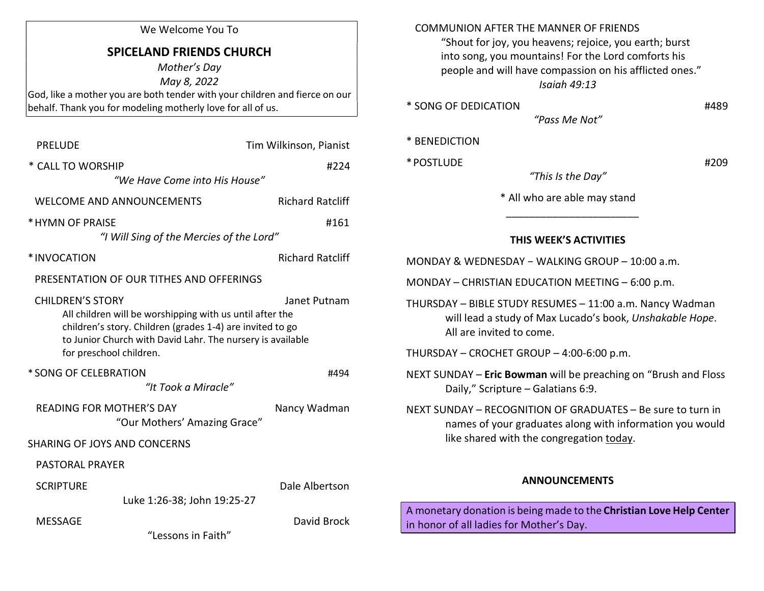| We Welcome You To |  |  |  |
|-------------------|--|--|--|
|-------------------|--|--|--|

## SPICELAND FRIENDS CHURCH

Mother's Day

May 8, 2022

God, like a mother you are both tender with your children and fierce on our behalf. Thank you for modeling motherly love for all of us.

| <b>PRELUDE</b>                                                                                                                                                                                                                                            |                                          | Tim Wilkinson, Pianist  |  |  |
|-----------------------------------------------------------------------------------------------------------------------------------------------------------------------------------------------------------------------------------------------------------|------------------------------------------|-------------------------|--|--|
| * CALL TO WORSHIP                                                                                                                                                                                                                                         | "We Have Come into His House"            | #224                    |  |  |
|                                                                                                                                                                                                                                                           | <b>WELCOME AND ANNOUNCEMENTS</b>         | <b>Richard Ratcliff</b> |  |  |
| * HYMN OF PRAISE                                                                                                                                                                                                                                          | "I Will Sing of the Mercies of the Lord" | #161                    |  |  |
| *INVOCATION                                                                                                                                                                                                                                               |                                          | <b>Richard Ratcliff</b> |  |  |
|                                                                                                                                                                                                                                                           | PRESENTATION OF OUR TITHES AND OFFERINGS |                         |  |  |
| <b>CHILDREN'S STORY</b><br>Janet Putnam<br>All children will be worshipping with us until after the<br>children's story. Children (grades 1-4) are invited to go<br>to Junior Church with David Lahr. The nursery is available<br>for preschool children. |                                          |                         |  |  |
| * SONG OF CELEBRATION                                                                                                                                                                                                                                     | "It Took a Miracle"                      | #494                    |  |  |
| <b>READING FOR MOTHER'S DAY</b>                                                                                                                                                                                                                           | "Our Mothers' Amazing Grace"             | Nancy Wadman            |  |  |
| <b>SHARING OF JOYS AND CONCERNS</b>                                                                                                                                                                                                                       |                                          |                         |  |  |
| <b>PASTORAL PRAYER</b>                                                                                                                                                                                                                                    |                                          |                         |  |  |
| <b>SCRIPTURE</b>                                                                                                                                                                                                                                          | Luke 1:26-38; John 19:25-27              | Dale Albertson          |  |  |
| <b>MESSAGE</b>                                                                                                                                                                                                                                            |                                          | David Brock             |  |  |

"Lessons in Faith"

| <b>COMMUNION AFTER THE MANNER OF FRIENDS</b><br>"Shout for joy, you heavens; rejoice, you earth; burst<br>into song, you mountains! For the Lord comforts his<br>people and will have compassion on his afflicted ones." |  |
|--------------------------------------------------------------------------------------------------------------------------------------------------------------------------------------------------------------------------|--|
| Isaiah 49:13                                                                                                                                                                                                             |  |
| * SONG OF DEDICATION<br>#489                                                                                                                                                                                             |  |
| "Pass Me Not"                                                                                                                                                                                                            |  |
| * BENEDICTION                                                                                                                                                                                                            |  |
| * POSTLUDE<br>#209                                                                                                                                                                                                       |  |
| "This Is the Day"                                                                                                                                                                                                        |  |
| * All who are able may stand                                                                                                                                                                                             |  |
|                                                                                                                                                                                                                          |  |
| THIS WEEK'S ACTIVITIES                                                                                                                                                                                                   |  |
| MONDAY & WEDNESDAY - WALKING GROUP - 10:00 a.m.                                                                                                                                                                          |  |
| MONDAY - CHRISTIAN EDUCATION MEETING - 6:00 p.m.                                                                                                                                                                         |  |
| THURSDAY - BIBLE STUDY RESUMES - 11:00 a.m. Nancy Wadman<br>will lead a study of Max Lucado's book, Unshakable Hope.<br>All are invited to come.                                                                         |  |
| THURSDAY - CROCHET GROUP - 4:00-6:00 p.m.                                                                                                                                                                                |  |
| NEXT SUNDAY - Eric Bowman will be preaching on "Brush and Floss<br>Daily," Scripture - Galatians 6:9.                                                                                                                    |  |
| NEXT SUNDAY - RECOGNITION OF GRADUATES - Be sure to turn in<br>names of your graduates along with information you would<br>like shared with the congregation today.                                                      |  |
| <b>ANNOUNCEMENTS</b>                                                                                                                                                                                                     |  |

A monetary donation is being made to the Christian Love Help Center in honor of all ladies for Mother's Day.